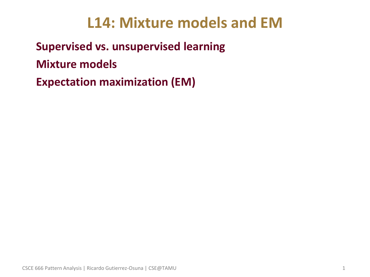# **L14: Mixture models and EM**

• **Supervised vs. unsupervised learning**

• **Mixture models** 

• **Expectation maximization (EM)**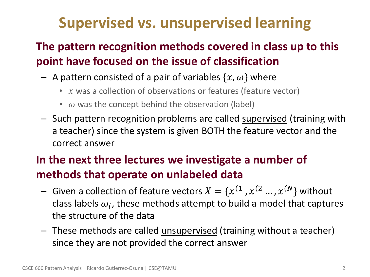# **Supervised vs. unsupervised learning**

## • **The pattern recognition methods covered in class up to this point have focused on the issue of classification**

- A pattern consisted of a pair of variables  $\{x, \omega\}$  where
	- $x$  was a collection of observations or features (feature vector)
	- $\omega$  was the concept behind the observation (label)
- Such pattern recognition problems are called supervised (training with a teacher) since the system is given BOTH the feature vector and the correct answer

## • **In the next three lectures we investigate a number of methods that operate on unlabeled data**

- $-$  Given a collection of feature vectors  $X=\{x^{(1}$  ,  $x^{(2}$  ... ,  $x^{(N)}\}$  without class labels  $\omega_i$ , these methods attempt to build a model that captures the structure of the data
- These methods are called <u>unsupervised</u> (training without a teacher) since they are not provided the correct answer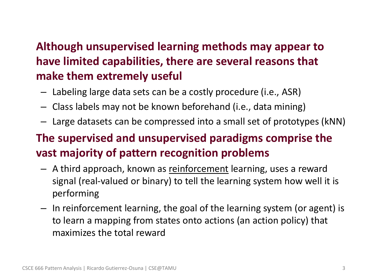## • **Although unsupervised learning methods may appear to have limited capabilities, there are several reasons that make them extremely useful**

- Labeling large data sets can be a costly procedure (i.e., ASR)
- Class labels may not be known beforehand (i.e., data mining)
- Large datasets can be compressed into a small set of prototypes (kNN)

### • **The supervised and unsupervised paradigms comprise the vast majority of pattern recognition problems**

- A third approach, known as reinforcement learning, uses a reward signal (real-valued or binary) to tell the learning system how well it is performing
- In reinforcement learning, the goal of the learning system (or agent) is to learn a mapping from states onto actions (an action policy) that maximizes the total reward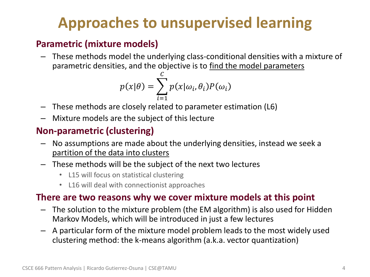# **Approaches to unsupervised learning**

#### • **Parametric (mixture models)**

– These methods model the underlying class-conditional densities with a mixture of parametric densities, and the objective is to find the model parameters

$$
p(x|\theta) = \sum_{i=1}^{C} p(x|\omega_i, \theta_i) P(\omega_i)
$$

- These methods are closely related to parameter estimation (L6)
- Mixture models are the subject of this lecture

#### • **Non-parametric (clustering)**

- No assumptions are made about the underlying densities, instead we seek a partition of the data into clusters
- These methods will be the subject of the next two lectures
	- L15 will focus on statistical clustering
	- L16 will deal with connectionist approaches

#### • **There are two reasons why we cover mixture models at this point**

- The solution to the mixture problem (the EM algorithm) is also used for Hidden Markov Models, which will be introduced in just a few lectures
- A particular form of the mixture model problem leads to the most widely used clustering method: the k-means algorithm (a.k.a. vector quantization)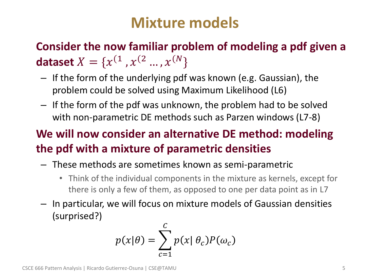## **Mixture models**

• **Consider the now familiar problem of modeling a pdf given a dataset**  $X = \{x^{(1)}, x^{(2} ..., x^{(N)}\}$ 

- If the form of the underlying pdf was known (e.g. Gaussian), the problem could be solved using Maximum Likelihood (L6)
- If the form of the pdf was unknown, the problem had to be solved with non-parametric DE methods such as Parzen windows (L7-8)

## • **We will now consider an alternative DE method: modeling the pdf with a mixture of parametric densities**

- These methods are sometimes known as semi-parametric
	- Think of the individual components in the mixture as kernels, except for there is only a few of them, as opposed to one per data point as in L7
- In particular, we will focus on mixture models of Gaussian densities (surprised?)

$$
p(x|\theta) = \sum_{c=1}^{C} p(x|\theta_c) P(\omega_c)
$$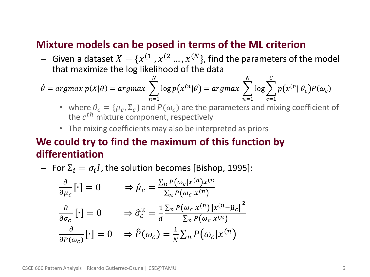#### • **Mixture models can be posed in terms of the ML criterion**

 $-$  Given a dataset  $X = \{x^{(1)}, x^{(2)}..., x^{(N)}\}$ , find the parameters of the model that maximize the log likelihood of the data

$$
\hat{\theta} = \operatorname{argmax} p(X|\theta) = \operatorname{argmax} \sum_{n=1}^{N} \log p(x^{(n)}|\theta) = \operatorname{argmax} \sum_{n=1}^{N} \log \sum_{c=1}^{C} p(x^{(n)}|\theta_c) P(\omega_c)
$$

- where  $\theta_c = {\mu_c, \Sigma_c}$  and  $P(\omega_c)$  are the parameters and mixing coefficient of the  $c^{th}$  mixture component, respectively
- The mixing coefficients may also be interpreted as priors

#### • **We could try to find the maximum of this function by differentiation**

— For  $\Sigma_i = \sigma_i I$ , the solution becomes [Bishop, 1995]:

$$
\frac{\partial}{\partial \mu_c} [\cdot] = 0 \qquad \Rightarrow \hat{\mu}_c = \frac{\sum_n P(\omega_c | x^{(n)} x^{(n)}\n}{\sum_n P(\omega_c | x^{(n)})\n} \frac{\partial}{\partial \sigma_c} [\cdot] = 0 \qquad \Rightarrow \hat{\sigma}_c^2 = \frac{1}{d} \frac{\sum_n P(\omega_c | x^{(n)} \| x^{(n)} - \hat{\mu}_c \|^2}{\sum_n P(\omega_c | x^{(n)})\n} \frac{\partial}{\partial P(\omega_c)} [\cdot] = 0 \qquad \Rightarrow \hat{P}(\omega_c) = \frac{1}{N} \sum_n P(\omega_c | x^{(n)})
$$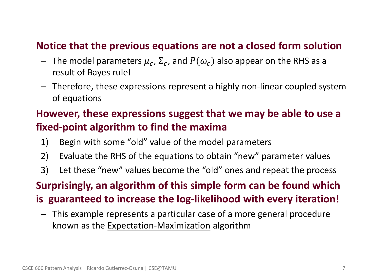#### • **Notice that the previous equations are not a closed form solution**

- $-$  The model parameters  $\mu_c$ ,  $\Sigma_c$ , and  $P(\omega_c)$  also appear on the RHS as a result of Bayes rule!
- Therefore, these expressions represent a highly non-linear coupled system of equations

### • **However, these expressions suggest that we may be able to use a fixed-point algorithm to find the maxima**

- 1) Begin with some "old" value of the model parameters
- 2) Evaluate the RHS of the equations to obtain "new" parameter values
- 3) Let these "new" values become the "old" ones and repeat the process

#### • **Surprisingly, an algorithm of this simple form can be found which**

**is guaranteed to increase the log-likelihood with every iteration!**

– This example represents a particular case of a more general procedure known as the Expectation-Maximization algorithm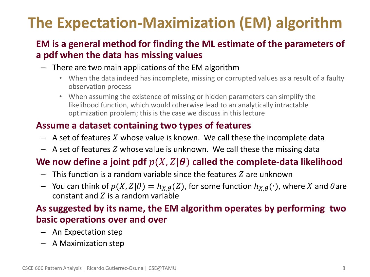# **The Expectation-Maximization (EM) algorithm**

#### • **EM is a general method for finding the ML estimate of the parameters of a pdf when the data has missing values**

- There are two main applications of the EM algorithm
	- When the data indeed has incomplete, missing or corrupted values as a result of a faulty observation process
	- When assuming the existence of missing or hidden parameters can simplify the likelihood function, which would otherwise lead to an analytically intractable optimization problem; this is the case we discuss in this lecture

#### • **Assume a dataset containing two types of features**

- $-$  A set of features X whose value is known. We call these the incomplete data
- $-$  A set of features Z whose value is unknown. We call these the missing data

#### We now define a joint pdf  $p(X, Z | \theta)$  called the complete-data likelihood

- $-$  This function is a random variable since the features  $Z$  are unknown
- You can think of  $p(X, Z | \theta) = h_{X,\theta}(Z)$ , for some function  $h_{X,\theta}(\cdot)$ , where X and  $\theta$ are constant and  $Z$  is a random variable

#### • **As suggested by its name, the EM algorithm operates by performing two basic operations over and over**

- An Expectation step
- A Maximization step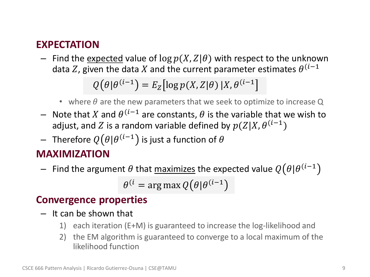#### • **EXPECTATION**

– Find the expected value of  $\log p(X, Z | \theta)$  with respect to the unknown data Z, given the data X and the current parameter estimates  $\theta^{(i-1)}$ 

 $Q(\theta | \theta^{(i-1)}) = E_Z [\log p(X, Z | \theta) | X, \theta^{(i-1)})$ 

- where  $\theta$  are the new parameters that we seek to optimize to increase Q
- $-$  Note that *X* and  $θ$ <sup>(i-1</sup> are constants,  $θ$  is the variable that we wish to adjust, and  $Z$  is a random variable defined by  $p(Z|X, \theta^{(i-1}))$
- $-$  Therefore  $Q\bigl(\theta|\theta^{(i-1}\bigr)$  is just a function of  $\theta$

#### • **MAXIMIZATION**

 $-$  Find the argument  $\theta$  that <u>maximizes</u> the expected value  $Q\big(\theta|\theta^{(i-1)}\big)$ 

 $\theta^{(i)}$  = arg max  $Q(\theta|\theta^{(i-1)})$ 

#### • **Convergence properties**

- It can be shown that
	- 1) each iteration (E+M) is guaranteed to increase the log-likelihood and
	- 2) the EM algorithm is guaranteed to converge to a local maximum of the likelihood function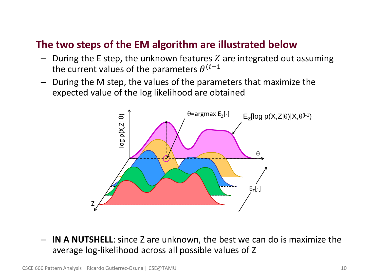#### • **The two steps of the EM algorithm are illustrated below**

- $-$  During the E step, the unknown features Z are integrated out assuming the current values of the parameters  $\theta^{(i-1)}$
- During the M step, the values of the parameters that maximize the expected value of the log likelihood are obtained



– **IN A NUTSHELL**: since Z are unknown, the best we can do is maximize the average log-likelihood across all possible values of Z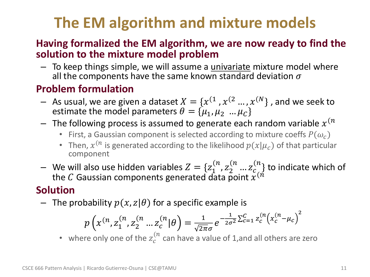# **The EM algorithm and mixture models**

#### • **Having formalized the EM algorithm, we are now ready to find the solution to the mixture model problem**

- To keep things simple, we will assume a univariate mixture model where all the components have the same known standard deviation  $\sigma$ 

### • **Problem formulation**

- $-$  As usual, we are given a dataset  $X=\{x^{(1}$  ,  $x^{(2}$  ... ,  $x^{(N)}\}$  , and we seek to estimate the model parameters  $\theta = {\mu_1, \mu_2 ... \mu_{\mathcal{C}}}$
- $-$  The following process is assumed to generate each random variable  $x^{(n)}$ 
	- First, a Gaussian component is selected according to mixture coeffs  $P(\omega_c)$
	- Then,  $x^{(n)}$  is generated according to the likelihood  $p(x|\mu_c)$  of that particular component
- We will also use hidden variables  $Z = \{z_1^{(n)}, z_2^{(n)}, ... z_{c}^{(n)}\}$  to indicate which of the C Gaussian components generated data point  $\stackrel{\sim}{x}^{(\vec{n})}$

### • **Solution**

- The probability  $p(x, z | \theta)$  for a specific example is

$$
p\left(x^{(n)}, z_1^{(n)}, z_2^{(n)} \dots z_c^{(n)} | \theta\right) = \frac{1}{\sqrt{2\pi}\sigma} e^{-\frac{1}{2\sigma^2} \sum_{c=1}^c z_c^{(n)} \left(x_c^{(n)} - \mu_c\right)^2}
$$

• where only one of the  $z_c^{(n)}$  can have a value of 1,and all others are zero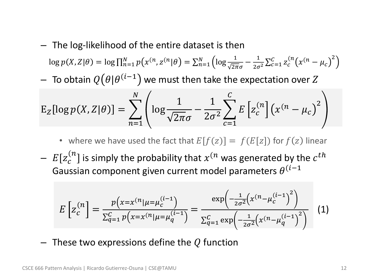- The log-likelihood of the entire dataset is then  $\log p(X, Z | \theta) = \log \prod_{n=1}^{N} p(x^{(n}, z^{(n} | \theta) = \sum_{n=1}^{N} \left( \log \frac{1}{\sqrt{2\pi}\sigma} - \frac{1}{2\sigma^2} \sum_{c=1}^{C} z_c^{(n} (x^{(n} - \mu_c))^2 \right)$  $c=1$  $\boldsymbol{N}$  $n=1$
- $-$  To obtain  $\mathit{Q}\bigl(\theta|\theta^{(i-1)}\bigr)$  we must then take the expectation over  $Z$

$$
E_Z[log p(X, Z | \theta)] = \sum_{n=1}^N \left( log \frac{1}{\sqrt{2\pi}\sigma} - \frac{1}{2\sigma^2} \sum_{c=1}^C E\left[z_c^{(n)}\right] \left(x^{(n)} - \mu_c\right)^2\right)
$$

- where we have used the fact that  $E[f(z)] = f(E[z])$  for  $f(z)$  linear
- $\ E[z_{c}^{(n}]$  is simply the probability that  $x^{(n)}$  was generated by the  $c^{th}$ Gaussian component given current model parameters  $\theta^{(i-1)}$

$$
E\left[z_c^{(n)}\right] = \frac{p\left(x = x^{(n)} | \mu = \mu_c^{(i-1)}\right)}{\sum_{q=1}^C p\left(x = x^{(n)} | \mu = \mu_q^{(i-1)}\right)} = \frac{\exp\left(-\frac{1}{2\sigma^2} \left(x^{(n)} - \mu_c^{(i-1)}\right)^2\right)}{\sum_{q=1}^C \exp\left(-\frac{1}{2\sigma^2} \left(x^{(n)} - \mu_q^{(i-1)}\right)^2\right)}\tag{1}
$$

 $-$  These two expressions define the Q function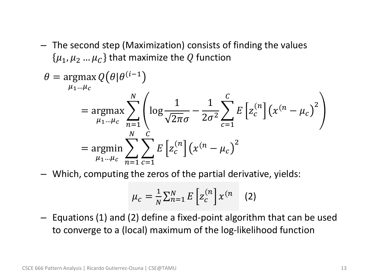– The second step (Maximization) consists of finding the values  $\{\mu_1, \mu_2, \ldots, \mu_C\}$  that maximize the Q function

$$
\theta = \underset{\mu_1 \dots \mu_c}{\text{argmax}} Q(\theta | \theta^{(i-1)})
$$
  
= 
$$
\underset{\mu_1 \dots \mu_c}{\text{argmax}} \sum_{n=1}^{N} \left( \log \frac{1}{\sqrt{2\pi}\sigma} - \frac{1}{2\sigma^2} \sum_{c=1}^{C} E\left[z_c^{(n)}\right] (x^{(n} - \mu_c)^2\right)
$$
  
= 
$$
\underset{\mu_1 \dots \mu_c}{\text{argmin}} \sum_{n=1}^{N} \sum_{c=1}^{C} E\left[z_c^{(n)}\right] (x^{(n} - \mu_c)^2
$$

– Which, computing the zeros of the partial derivative, yields:

$$
\mu_c = \frac{1}{N} \sum_{n=1}^{N} E\left[z_c^{(n)}\right] x^{(n)} \quad (2)
$$

– Equations (1) and (2) define a fixed-point algorithm that can be used to converge to a (local) maximum of the log-likelihood function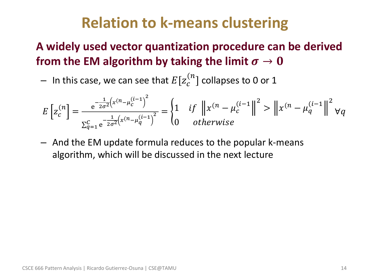# **Relation to k-means clustering**

### • **A widely used vector quantization procedure can be derived**  from the EM algorithm by taking the limit  $\sigma \to 0$

 $-$  In this case, we can see that  $E[\pmb{z}_c^{(n}]$  collapses to 0 or 1

$$
E\left[z_c^{(n)}\right] = \frac{e^{-\frac{1}{2\sigma^2}\left(x^{(n)} - \mu_c^{(i-1)}\right)^2}}{\sum_{q=1}^c e^{-\frac{1}{2\sigma^2}\left(x^{(n)} - \mu_q^{(i-1)}\right)^2}} = \begin{cases} 1 & \text{if } \left\|x^{(n)} - \mu_c^{(i-1)}\right\|^2 > \left\|x^{(n)} - \mu_q^{(i-1)}\right\|^2 \text{if } \left\|x^{(n)} - \mu_q^{(i-1)}\right\|^2 > \left\|x^{(n)} - \mu_q^{(i-1)}\right\|^2 \text{if } \left\|x^{(n)} - \mu_q^{(i-1)}\right\|^2 \text{if } \left\|x^{(n)} - \mu_q^{(i-1)}\right\|^2 \text{if } \left\|x^{(n)} - \mu_q^{(i-1)}\right\|^2 \text{if } \left\|x^{(n)} - \mu_q^{(i-1)}\right\|^2 \text{if } \left\|x^{(n)} - \mu_q^{(i-1)}\right\|^2 \text{if } \left\|x^{(n)} - \mu_q^{(i-1)}\right\|^2 \text{if } \left\|x^{(n)} - \mu_q^{(i-1)}\right\|^2 \text{if } \left\|x^{(n)} - \mu_q^{(i-1)}\right\|^2 \text{if } \left\|x^{(n)} - \mu_q^{(i-1)}\right\|^2 \text{if } \left\|x^{(n)} - \mu_q^{(i-1)}\right\|^2 \text{if } \left\|x^{(n)} - \mu_q^{(i-1)}\right\|^2 \text{if } \left\|x^{(n)} - \mu_q^{(i-1)}\right\|^2 \text{if } \left\|x^{(n)} - \mu_q^{(i-1)}\right\|^2 \text{if } \left\|x^{(n)} - \mu_q^{(i-1)}\right\|^2 \text{if } \left\|x^{(n)} - \mu_q^{(i-1)}\right\|^2 \text{if } \left\|x^{(n)} - \mu_q^{(i-1)}\right\|^2 \text{if } \left\|x^{(n)} - \mu_q^{(i-1)}\right\|^2 \text{if } \left\|x^{(n)} - \mu_q^{(i-1)}\right\|^2 \text{if } \left\|x^{(n)} - \mu_q^{(i
$$

– And the EM update formula reduces to the popular k-means algorithm, which will be discussed in the next lecture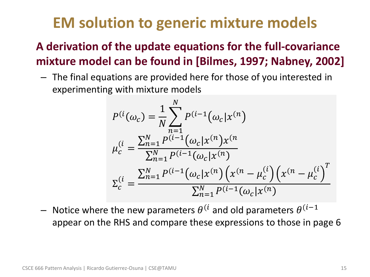# **EM solution to generic mixture models**

### • **A derivation of the update equations for the full-covariance mixture model can be found in [Bilmes, 1997; Nabney, 2002]**

– The final equations are provided here for those of you interested in experimenting with mixture models

$$
P^{(i}(\omega_c) = \frac{1}{N} \sum_{n=1}^{N} P^{(i-1}(\omega_c | x^{(n)})
$$
  
\n
$$
\mu_c^{(i)} = \frac{\sum_{n=1}^{N} P^{(i-1)}(\omega_c | x^{(n)}) x^{(n)}}{\sum_{n=1}^{N} P^{(i-1)}(\omega_c | x^{(n)})}
$$
  
\n
$$
\Sigma_c^{(i)} = \frac{\sum_{n=1}^{N} P^{(i-1)}(\omega_c | x^{(n)}) (x^{(n)} - \mu_c^{(i)}) (x^{(n)} - \mu_c^{(i)})^T}{\sum_{n=1}^{N} P^{(i-1)}(\omega_c | x^{(n)})}
$$

 $-$  Notice where the new parameters  $\theta^{(i)}$  and old parameters  $\theta^{(i-1)}$ appear on the RHS and compare these expressions to those in page 6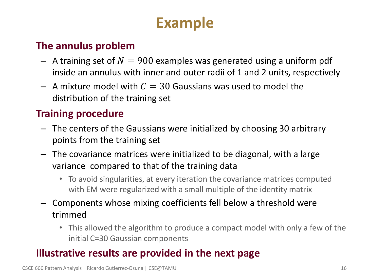# **Example**

### • **The annulus problem**

- $-$  A training set of  $N = 900$  examples was generated using a uniform pdf inside an annulus with inner and outer radii of 1 and 2 units, respectively
- $-$  A mixture model with  $C = 30$  Gaussians was used to model the distribution of the training set

### • **Training procedure**

- The centers of the Gaussians were initialized by choosing 30 arbitrary points from the training set
- The covariance matrices were initialized to be diagonal, with a large variance compared to that of the training data
	- To avoid singularities, at every iteration the covariance matrices computed with EM were regularized with a small multiple of the identity matrix
- Components whose mixing coefficients fell below a threshold were trimmed
	- This allowed the algorithm to produce a compact model with only a few of the initial C=30 Gaussian components

### • **Illustrative results are provided in the next page**